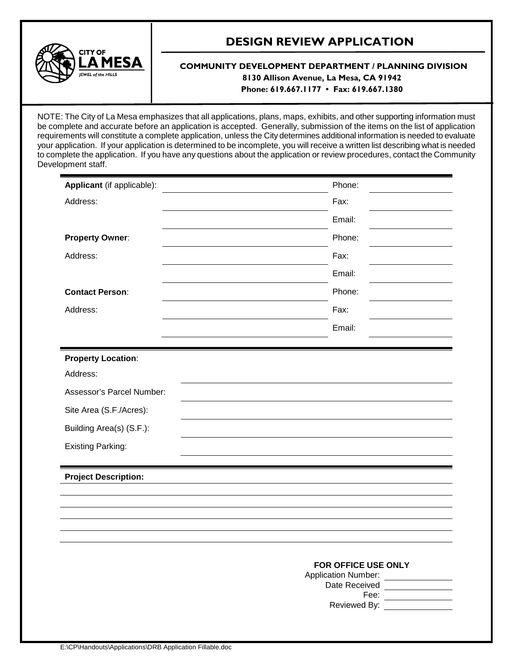

# **DESIGN REVIEW APPLICATION**

# **COMMUNITY DEVELOPMENT DEPARTMENT / PLANNING DIVISION 8130 Allison Avenue, La Mesa, CA 91942 Phone: 619.667.1177 • Fax: 619.667.1380**

NOTE: The City of La Mesa emphasizes that all applications, plans, maps, exhibits, and other supporting information must be complete and accurate before an application is accepted. Generally, submission of the items on the list of application requirements will constitute a complete application, unless the City determines additional information is needed to evaluate your application. If your application is determined to be incomplete, you will receive a written list describing what is needed to complete the application. If you have any questions about the application or review procedures, contact the Community Development staff.

| Applicant (if applicable):            | Phone:                                                                                                                                                                                                                                                                                                                                                                                                                                                                                                                                                                                                                                                        |
|---------------------------------------|---------------------------------------------------------------------------------------------------------------------------------------------------------------------------------------------------------------------------------------------------------------------------------------------------------------------------------------------------------------------------------------------------------------------------------------------------------------------------------------------------------------------------------------------------------------------------------------------------------------------------------------------------------------|
| Address:                              | Fax:                                                                                                                                                                                                                                                                                                                                                                                                                                                                                                                                                                                                                                                          |
|                                       | Email:                                                                                                                                                                                                                                                                                                                                                                                                                                                                                                                                                                                                                                                        |
| <b>Property Owner:</b>                | Phone:                                                                                                                                                                                                                                                                                                                                                                                                                                                                                                                                                                                                                                                        |
| Address:                              | Fax:                                                                                                                                                                                                                                                                                                                                                                                                                                                                                                                                                                                                                                                          |
|                                       | Email:                                                                                                                                                                                                                                                                                                                                                                                                                                                                                                                                                                                                                                                        |
| <b>Contact Person:</b>                | Phone:                                                                                                                                                                                                                                                                                                                                                                                                                                                                                                                                                                                                                                                        |
| Address:                              | Fax:                                                                                                                                                                                                                                                                                                                                                                                                                                                                                                                                                                                                                                                          |
|                                       | Email:                                                                                                                                                                                                                                                                                                                                                                                                                                                                                                                                                                                                                                                        |
|                                       |                                                                                                                                                                                                                                                                                                                                                                                                                                                                                                                                                                                                                                                               |
| <b>Property Location:</b><br>Address: |                                                                                                                                                                                                                                                                                                                                                                                                                                                                                                                                                                                                                                                               |
| Assessor's Parcel Number:             |                                                                                                                                                                                                                                                                                                                                                                                                                                                                                                                                                                                                                                                               |
| Site Area (S.F./Acres):               |                                                                                                                                                                                                                                                                                                                                                                                                                                                                                                                                                                                                                                                               |
| Building Area(s) (S.F.):              |                                                                                                                                                                                                                                                                                                                                                                                                                                                                                                                                                                                                                                                               |
| <b>Existing Parking:</b>              |                                                                                                                                                                                                                                                                                                                                                                                                                                                                                                                                                                                                                                                               |
|                                       |                                                                                                                                                                                                                                                                                                                                                                                                                                                                                                                                                                                                                                                               |
| <b>Project Description:</b>           |                                                                                                                                                                                                                                                                                                                                                                                                                                                                                                                                                                                                                                                               |
|                                       |                                                                                                                                                                                                                                                                                                                                                                                                                                                                                                                                                                                                                                                               |
|                                       |                                                                                                                                                                                                                                                                                                                                                                                                                                                                                                                                                                                                                                                               |
|                                       |                                                                                                                                                                                                                                                                                                                                                                                                                                                                                                                                                                                                                                                               |
|                                       | FOR OFFICE USE ONLY<br>Application Number: Value of Application Number:<br>Date Received _____________                                                                                                                                                                                                                                                                                                                                                                                                                                                                                                                                                        |
|                                       | Fee: $\frac{1}{\sqrt{1-\frac{1}{2}}}\frac{1}{\sqrt{1-\frac{1}{2}}}\frac{1}{\sqrt{1-\frac{1}{2}}}\frac{1}{\sqrt{1-\frac{1}{2}}}\frac{1}{\sqrt{1-\frac{1}{2}}}\frac{1}{\sqrt{1-\frac{1}{2}}}\frac{1}{\sqrt{1-\frac{1}{2}}}\frac{1}{\sqrt{1-\frac{1}{2}}}\frac{1}{\sqrt{1-\frac{1}{2}}}\frac{1}{\sqrt{1-\frac{1}{2}}}\frac{1}{\sqrt{1-\frac{1}{2}}}\frac{1}{\sqrt{1-\frac{1}{2}}}\frac{1}{\sqrt{1-\frac{1}{2}}}\frac{1}{\sqrt$<br>Reviewed By: North States and States and States and States and States and States and States and States and States and States and States and States and States and States and States and States and States and States and State |
|                                       |                                                                                                                                                                                                                                                                                                                                                                                                                                                                                                                                                                                                                                                               |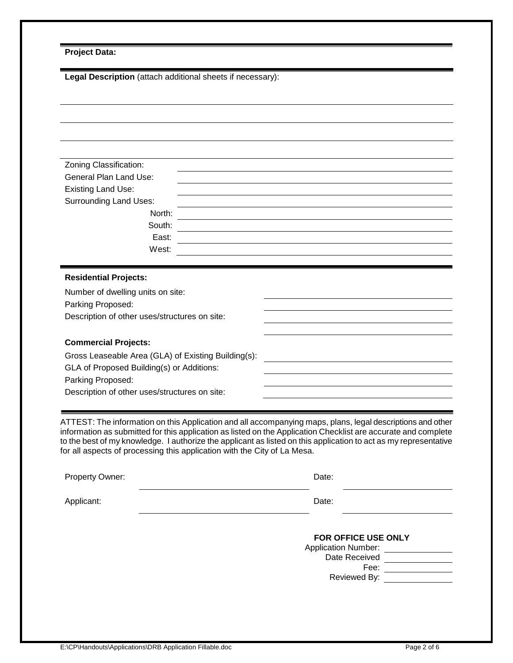| <b>Project Data:</b> |  |
|----------------------|--|
|----------------------|--|

| Legal Description (attach additional sheets if necessary): |  |  |
|------------------------------------------------------------|--|--|
|                                                            |  |  |
|                                                            |  |  |
|                                                            |  |  |
|                                                            |  |  |
| Zoning Classification:                                     |  |  |
| <b>General Plan Land Use:</b>                              |  |  |
| <b>Existing Land Use:</b>                                  |  |  |
| <b>Surrounding Land Uses:</b>                              |  |  |
| North:                                                     |  |  |
| South:<br>East:                                            |  |  |
| West:                                                      |  |  |
|                                                            |  |  |
| <b>Residential Projects:</b>                               |  |  |
| Number of dwelling units on site:                          |  |  |
| Parking Proposed:                                          |  |  |
| Description of other uses/structures on site:              |  |  |
|                                                            |  |  |
| <b>Commercial Projects:</b>                                |  |  |
| Gross Leaseable Area (GLA) of Existing Building(s):        |  |  |
| GLA of Proposed Building(s) or Additions:                  |  |  |
| Parking Proposed:                                          |  |  |
| Description of other uses/structures on site:              |  |  |
|                                                            |  |  |

ATTEST: The information on this Application and all accompanying maps, plans, legal descriptions and other information as submitted for this application as listed on the Application Checklist are accurate and complete to the best of my knowledge. I authorize the applicant as listed on this application to act as my representative for all aspects of processing this application with the City of La Mesa.

| Property Owner: | Date:                                                                                      |
|-----------------|--------------------------------------------------------------------------------------------|
| Applicant:      | Date:                                                                                      |
|                 | FOR OFFICE USE ONLY<br><b>Application Number:</b><br>Date Received<br>Fee:<br>Reviewed By: |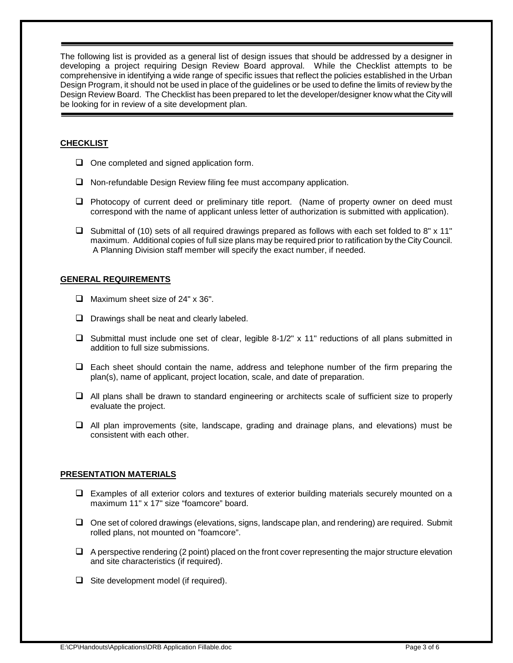The following list is provided as a general list of design issues that should be addressed by a designer in developing a project requiring Design Review Board approval. While the Checklist attempts to be comprehensive in identifying a wide range of specific issues that reflect the policies established in the Urban Design Program, it should not be used in place of the guidelines or be used to define the limits of review by the Design Review Board. The Checklist has been prepared to let the developer/designer know what the City will be looking for in review of a site development plan.

# **CHECKLIST**

- $\Box$  One completed and signed application form.
- $\Box$  Non-refundable Design Review filing fee must accompany application.
- $\Box$  Photocopy of current deed or preliminary title report. (Name of property owner on deed must correspond with the name of applicant unless letter of authorization is submitted with application).
- $\Box$  Submittal of (10) sets of all required drawings prepared as follows with each set folded to 8" x 11" maximum. Additional copies of full size plans may be required prior to ratification by the City Council. A Planning Division staff member will specify the exact number, if needed.

## **GENERAL REQUIREMENTS**

- $\Box$  Maximum sheet size of 24" x 36".
- $\Box$  Drawings shall be neat and clearly labeled.
- $\Box$  Submittal must include one set of clear, legible 8-1/2" x 11" reductions of all plans submitted in addition to full size submissions.
- $\Box$  Each sheet should contain the name, address and telephone number of the firm preparing the plan(s), name of applicant, project location, scale, and date of preparation.
- $\Box$  All plans shall be drawn to standard engineering or architects scale of sufficient size to properly evaluate the project.
- $\Box$  All plan improvements (site, landscape, grading and drainage plans, and elevations) must be consistent with each other.

#### **PRESENTATION MATERIALS**

- $\Box$  Examples of all exterior colors and textures of exterior building materials securely mounted on a maximum 11" x 17" size "foamcore" board.
- $\Box$  One set of colored drawings (elevations, signs, landscape plan, and rendering) are required. Submit rolled plans, not mounted on "foamcore".
- $\Box$  A perspective rendering (2 point) placed on the front cover representing the major structure elevation and site characteristics (if required).
- $\Box$  Site development model (if required).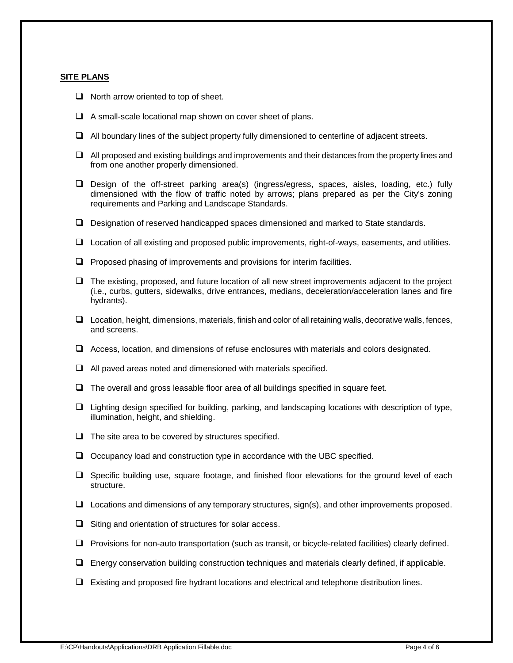#### **SITE PLANS**

- $\Box$  North arrow oriented to top of sheet.
- $\Box$  A small-scale locational map shown on cover sheet of plans.
- $\Box$  All boundary lines of the subject property fully dimensioned to centerline of adjacent streets.
- $\Box$  All proposed and existing buildings and improvements and their distances from the property lines and from one another properly dimensioned.
- $\square$  Design of the off-street parking area(s) (ingress/egress, spaces, aisles, loading, etc.) fully dimensioned with the flow of traffic noted by arrows; plans prepared as per the City's zoning requirements and Parking and Landscape Standards.
- $\Box$  Designation of reserved handicapped spaces dimensioned and marked to State standards.
- $\Box$  Location of all existing and proposed public improvements, right-of-ways, easements, and utilities.
- $\Box$  Proposed phasing of improvements and provisions for interim facilities.
- $\Box$  The existing, proposed, and future location of all new street improvements adjacent to the project (i.e., curbs, gutters, sidewalks, drive entrances, medians, deceleration/acceleration lanes and fire hydrants).
- $\Box$  Location, height, dimensions, materials, finish and color of all retaining walls, decorative walls, fences, and screens.
- $\Box$  Access, location, and dimensions of refuse enclosures with materials and colors designated.
- $\Box$  All paved areas noted and dimensioned with materials specified.
- $\Box$  The overall and gross leasable floor area of all buildings specified in square feet.
- $\Box$  Lighting design specified for building, parking, and landscaping locations with description of type, illumination, height, and shielding.
- $\Box$  The site area to be covered by structures specified.
- $\Box$  Occupancy load and construction type in accordance with the UBC specified.
- $\Box$  Specific building use, square footage, and finished floor elevations for the ground level of each structure.
- $\Box$  Locations and dimensions of any temporary structures, sign(s), and other improvements proposed.
- $\Box$  Siting and orientation of structures for solar access.
- $\Box$  Provisions for non-auto transportation (such as transit, or bicycle-related facilities) clearly defined.
- $\Box$  Energy conservation building construction techniques and materials clearly defined, if applicable.
- $\Box$  Existing and proposed fire hydrant locations and electrical and telephone distribution lines.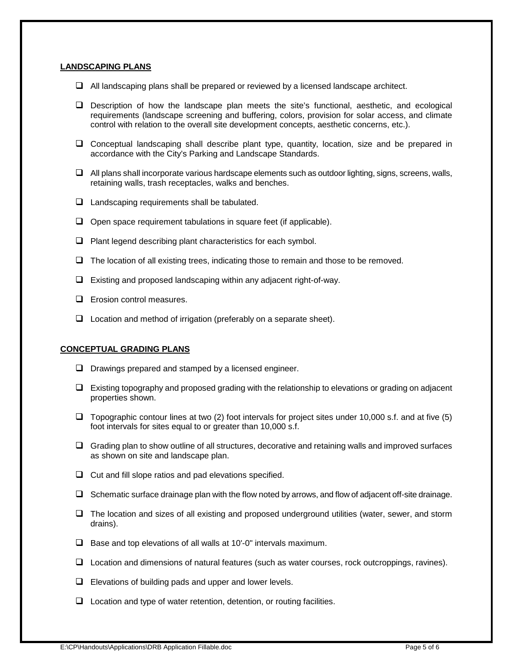#### **LANDSCAPING PLANS**

- $\Box$  All landscaping plans shall be prepared or reviewed by a licensed landscape architect.
- $\square$  Description of how the landscape plan meets the site's functional, aesthetic, and ecological requirements (landscape screening and buffering, colors, provision for solar access, and climate control with relation to the overall site development concepts, aesthetic concerns, etc.).
- $\Box$  Conceptual landscaping shall describe plant type, quantity, location, size and be prepared in accordance with the City's Parking and Landscape Standards.
- $\Box$  All plans shall incorporate various hardscape elements such as outdoor lighting, signs, screens, walls, retaining walls, trash receptacles, walks and benches.
- $\Box$  Landscaping requirements shall be tabulated.
- $\Box$  Open space requirement tabulations in square feet (if applicable).
- $\Box$  Plant legend describing plant characteristics for each symbol.
- $\Box$  The location of all existing trees, indicating those to remain and those to be removed.
- $\Box$  Existing and proposed landscaping within any adjacent right-of-way.
- $\Box$  Erosion control measures.
- $\Box$  Location and method of irrigation (preferably on a separate sheet).

#### **CONCEPTUAL GRADING PLANS**

- $\Box$  Drawings prepared and stamped by a licensed engineer.
- $\Box$  Existing topography and proposed grading with the relationship to elevations or grading on adjacent properties shown.
- $\Box$  Topographic contour lines at two (2) foot intervals for project sites under 10,000 s.f. and at five (5) foot intervals for sites equal to or greater than 10,000 s.f.
- $\Box$  Grading plan to show outline of all structures, decorative and retaining walls and improved surfaces as shown on site and landscape plan.
- $\Box$  Cut and fill slope ratios and pad elevations specified.
- $\Box$  Schematic surface drainage plan with the flow noted by arrows, and flow of adjacent off-site drainage.
- $\Box$  The location and sizes of all existing and proposed underground utilities (water, sewer, and storm drains).
- $\Box$  Base and top elevations of all walls at 10'-0" intervals maximum.
- □ Location and dimensions of natural features (such as water courses, rock outcroppings, ravines).
- $\Box$  Elevations of building pads and upper and lower levels.
- $\Box$  Location and type of water retention, detention, or routing facilities.